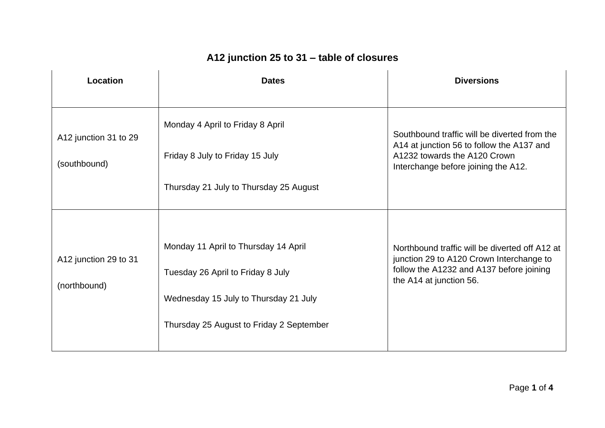## **A12 junction 25 to 31 – table of closures**

| Location                              | <b>Dates</b>                                                                                                                                                   | <b>Diversions</b>                                                                                                                                                 |
|---------------------------------------|----------------------------------------------------------------------------------------------------------------------------------------------------------------|-------------------------------------------------------------------------------------------------------------------------------------------------------------------|
| A12 junction 31 to 29<br>(southbound) | Monday 4 April to Friday 8 April<br>Friday 8 July to Friday 15 July<br>Thursday 21 July to Thursday 25 August                                                  | Southbound traffic will be diverted from the<br>A14 at junction 56 to follow the A137 and<br>A1232 towards the A120 Crown<br>Interchange before joining the A12.  |
| A12 junction 29 to 31<br>(northbound) | Monday 11 April to Thursday 14 April<br>Tuesday 26 April to Friday 8 July<br>Wednesday 15 July to Thursday 21 July<br>Thursday 25 August to Friday 2 September | Northbound traffic will be diverted off A12 at<br>junction 29 to A120 Crown Interchange to<br>follow the A1232 and A137 before joining<br>the A14 at junction 56. |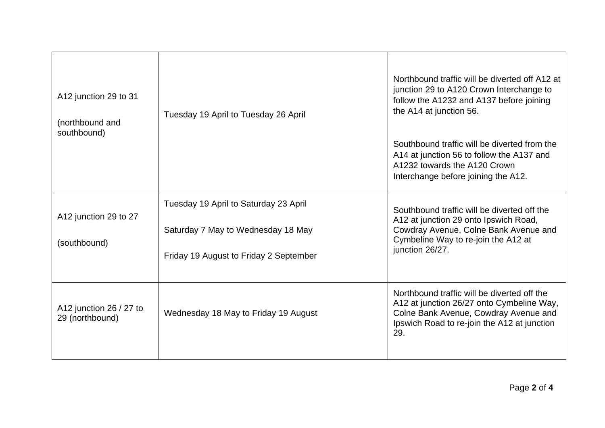| A12 junction 29 to 31<br>(northbound and<br>southbound) | Tuesday 19 April to Tuesday 26 April                                                                                  | Northbound traffic will be diverted off A12 at<br>junction 29 to A120 Crown Interchange to<br>follow the A1232 and A137 before joining<br>the A14 at junction 56.<br>Southbound traffic will be diverted from the<br>A14 at junction 56 to follow the A137 and<br>A1232 towards the A120 Crown<br>Interchange before joining the A12. |
|---------------------------------------------------------|-----------------------------------------------------------------------------------------------------------------------|---------------------------------------------------------------------------------------------------------------------------------------------------------------------------------------------------------------------------------------------------------------------------------------------------------------------------------------|
| A12 junction 29 to 27<br>(southbound)                   | Tuesday 19 April to Saturday 23 April<br>Saturday 7 May to Wednesday 18 May<br>Friday 19 August to Friday 2 September | Southbound traffic will be diverted off the<br>A12 at junction 29 onto Ipswich Road,<br>Cowdray Avenue, Colne Bank Avenue and<br>Cymbeline Way to re-join the A12 at<br>junction 26/27.                                                                                                                                               |
| A12 junction 26 / 27 to<br>29 (northbound)              | Wednesday 18 May to Friday 19 August                                                                                  | Northbound traffic will be diverted off the<br>A12 at junction 26/27 onto Cymbeline Way,<br>Colne Bank Avenue, Cowdray Avenue and<br>Ipswich Road to re-join the A12 at junction<br>29.                                                                                                                                               |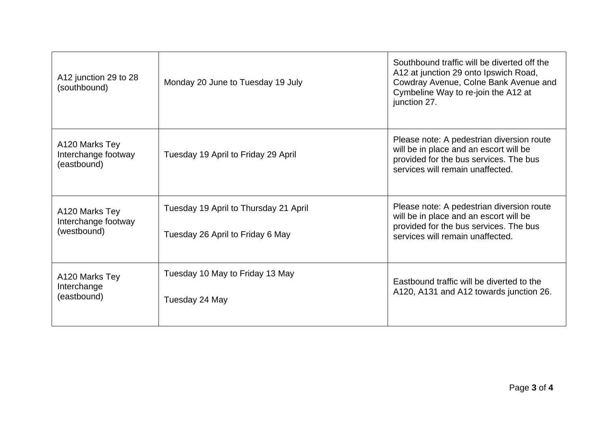| A12 junction 29 to 28<br>(southbound)                | Monday 20 June to Tuesday 19 July                                         | Southbound traffic will be diverted off the<br>A12 at junction 29 onto Ipswich Road,<br>Cowdray Avenue, Colne Bank Avenue and<br>Cymbeline Way to re-join the A12 at<br>junction 27. |
|------------------------------------------------------|---------------------------------------------------------------------------|--------------------------------------------------------------------------------------------------------------------------------------------------------------------------------------|
| A120 Marks Tey<br>Interchange footway<br>(eastbound) | Tuesday 19 April to Friday 29 April                                       | Please note: A pedestrian diversion route<br>will be in place and an escort will be<br>provided for the bus services. The bus<br>services will remain unaffected.                    |
| A120 Marks Tey<br>Interchange footway<br>(westbound) | Tuesday 19 April to Thursday 21 April<br>Tuesday 26 April to Friday 6 May | Please note: A pedestrian diversion route<br>will be in place and an escort will be<br>provided for the bus services. The bus<br>services will remain unaffected.                    |
| A120 Marks Tey<br>Interchange<br>(eastbound)         | Tuesday 10 May to Friday 13 May<br>Tuesday 24 May                         | Eastbound traffic will be diverted to the<br>A120, A131 and A12 towards junction 26.                                                                                                 |